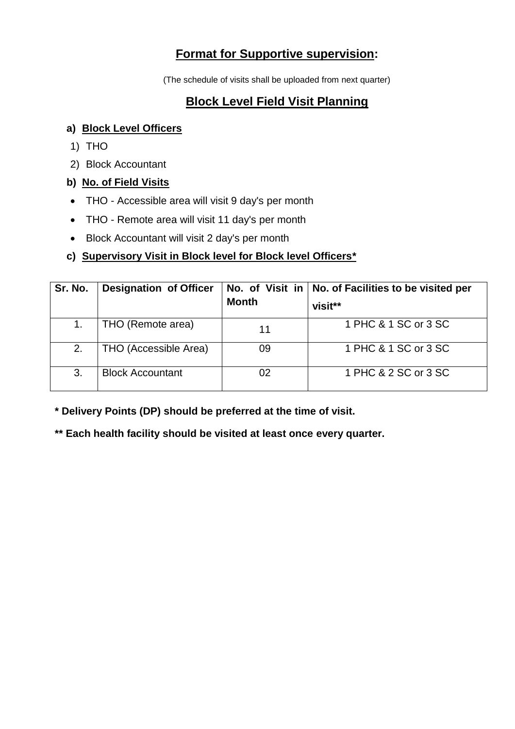# **Format for Supportive supervision:**

(The schedule of visits shall be uploaded from next quarter)

# **Block Level Field Visit Planning**

### **a) Block Level Officers**

- 1) THO
- 2) Block Accountant

## **b) No. of Field Visits**

- THO Accessible area will visit 9 day's per month
- THO Remote area will visit 11 day's per month
- Block Accountant will visit 2 day's per month

## **c) Supervisory Visit in Block level for Block level Officers\***

| Sr. No. | <b>Designation of Officer</b> | <b>Month</b> | No. of Visit in   No. of Facilities to be visited per<br>visit** |
|---------|-------------------------------|--------------|------------------------------------------------------------------|
|         | THO (Remote area)             | 11           | 1 PHC & 1 SC or 3 SC                                             |
| 2.      | THO (Accessible Area)         | 09           | 1 PHC & 1 SC or 3 SC                                             |
| 3.      | <b>Block Accountant</b>       | 02           | 1 PHC & 2 SC or 3 SC                                             |

**\* Delivery Points (DP) should be preferred at the time of visit.**

**\*\* Each health facility should be visited at least once every quarter.**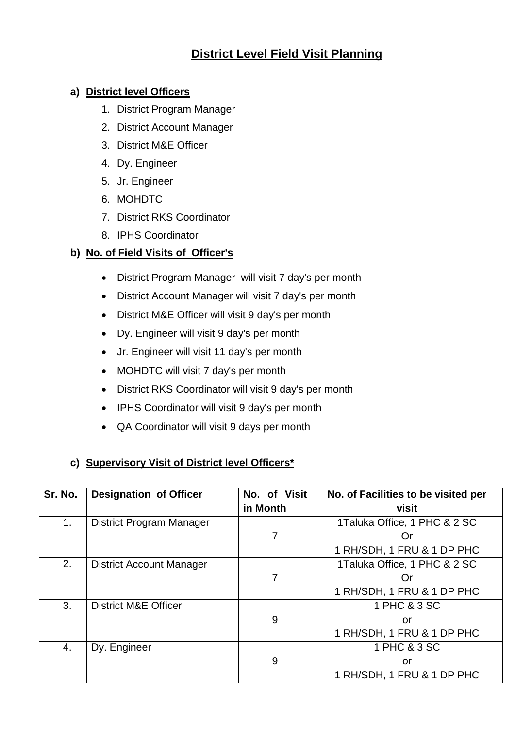# **District Level Field Visit Planning**

#### **a) District level Officers**

- 1. District Program Manager
- 2. District Account Manager
- 3. District M&E Officer
- 4. Dy. Engineer
- 5. Jr. Engineer
- 6. MOHDTC
- 7. District RKS Coordinator
- 8. IPHS Coordinator

#### **b) No. of Field Visits of Officer's**

- District Program Manager will visit 7 day's per month
- District Account Manager will visit 7 day's per month
- District M&E Officer will visit 9 day's per month
- Dy. Engineer will visit 9 day's per month
- Jr. Engineer will visit 11 day's per month
- MOHDTC will visit 7 day's per month
- District RKS Coordinator will visit 9 day's per month
- IPHS Coordinator will visit 9 day's per month
- QA Coordinator will visit 9 days per month

#### **c) Supervisory Visit of District level Officers\***

| Sr. No. | <b>Designation of Officer</b>   | No. of Visit<br>in Month | No. of Facilities to be visited per<br>visit |
|---------|---------------------------------|--------------------------|----------------------------------------------|
| 1.      | District Program Manager        |                          | 1Taluka Office, 1 PHC & 2 SC                 |
|         |                                 | 7                        | Or                                           |
|         |                                 |                          | 1 RH/SDH, 1 FRU & 1 DP PHC                   |
| 2.      | <b>District Account Manager</b> |                          | 1Taluka Office, 1 PHC & 2 SC                 |
|         |                                 | 7                        | Or                                           |
|         |                                 |                          | 1 RH/SDH, 1 FRU & 1 DP PHC                   |
| 3.      | <b>District M&amp;E Officer</b> |                          | 1 PHC & 3 SC                                 |
|         |                                 | 9                        | or                                           |
|         |                                 |                          | 1 RH/SDH, 1 FRU & 1 DP PHC                   |
| 4.      | Dy. Engineer                    |                          | 1 PHC & 3 SC                                 |
|         |                                 | 9                        | or                                           |
|         |                                 |                          | 1 RH/SDH, 1 FRU & 1 DP PHC                   |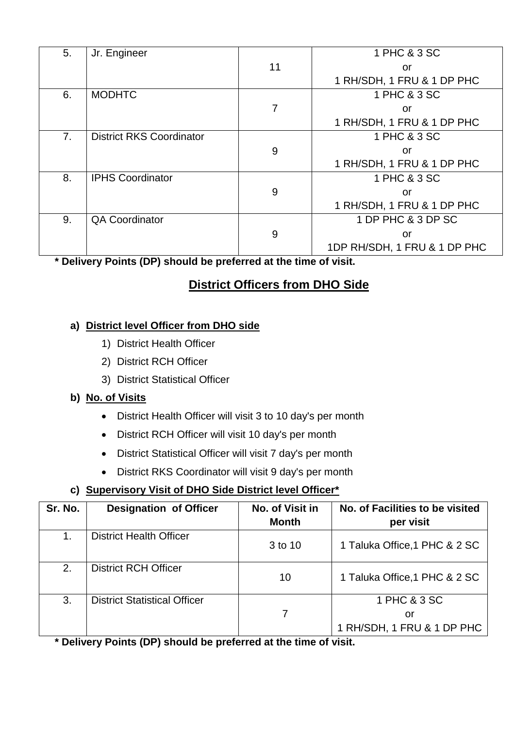| 5. | Jr. Engineer                    |    | 1 PHC & 3 SC                 |
|----|---------------------------------|----|------------------------------|
|    |                                 | 11 | or                           |
|    |                                 |    | 1 RH/SDH, 1 FRU & 1 DP PHC   |
| 6. | <b>MODHTC</b>                   |    | 1 PHC & 3 SC                 |
|    |                                 | 7  | or                           |
|    |                                 |    | 1 RH/SDH, 1 FRU & 1 DP PHC   |
| 7. | <b>District RKS Coordinator</b> |    | 1 PHC & 3 SC                 |
|    |                                 | 9  | or                           |
|    |                                 |    | 1 RH/SDH, 1 FRU & 1 DP PHC   |
| 8. | <b>IPHS Coordinator</b>         |    | 1 PHC & 3 SC                 |
|    |                                 | 9  | or                           |
|    |                                 |    | 1 RH/SDH, 1 FRU & 1 DP PHC   |
| 9. | <b>QA Coordinator</b>           |    | 1 DP PHC & 3 DP SC           |
|    |                                 | 9  | or                           |
|    |                                 |    | 1DP RH/SDH, 1 FRU & 1 DP PHC |

**\* Delivery Points (DP) should be preferred at the time of visit.**

# **District Officers from DHO Side**

## **a) District level Officer from DHO side**

- 1) District Health Officer
- 2) District RCH Officer
- 3) District Statistical Officer

## **b) No. of Visits**

- District Health Officer will visit 3 to 10 day's per month
- District RCH Officer will visit 10 day's per month
- District Statistical Officer will visit 7 day's per month
- District RKS Coordinator will visit 9 day's per month

## **c) Supervisory Visit of DHO Side District level Officer\***

| Sr. No. | <b>Designation of Officer</b>       | No. of Visit in<br><b>Month</b> | No. of Facilities to be visited<br>per visit     |
|---------|-------------------------------------|---------------------------------|--------------------------------------------------|
| 1.      | <b>District Health Officer</b>      | 3 to 10                         | 1 Taluka Office, 1 PHC & 2 SC                    |
| 2.      | <b>District RCH Officer</b>         | 10                              | 1 Taluka Office, 1 PHC & 2 SC                    |
| 3.      | <b>District Statistical Officer</b> |                                 | 1 PHC & 3 SC<br>or<br>1 RH/SDH, 1 FRU & 1 DP PHC |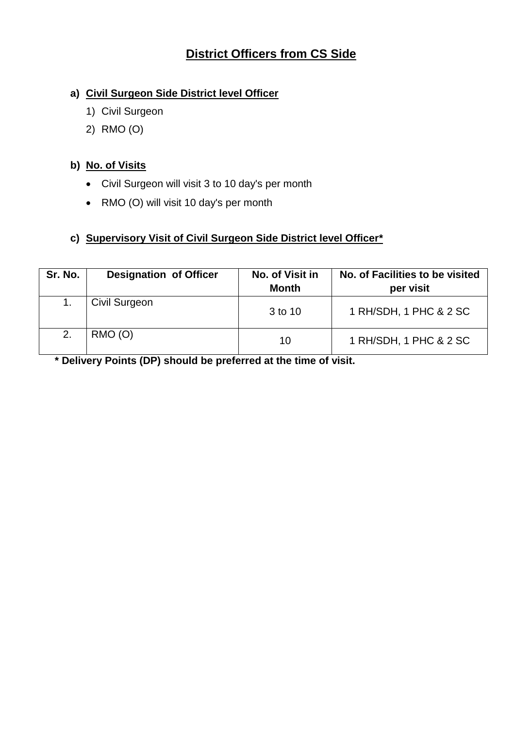# **District Officers from CS Side**

### **a) Civil Surgeon Side District level Officer**

- 1) Civil Surgeon
- 2) RMO (O)

### **b) No. of Visits**

- Civil Surgeon will visit 3 to 10 day's per month
- RMO (O) will visit 10 day's per month

### **c) Supervisory Visit of Civil Surgeon Side District level Officer\***

| Sr. No. | <b>Designation of Officer</b> | No. of Visit in<br><b>Month</b> | No. of Facilities to be visited<br>per visit |
|---------|-------------------------------|---------------------------------|----------------------------------------------|
|         | Civil Surgeon                 | 3 to 10                         | 1 RH/SDH, 1 PHC & 2 SC                       |
| 2.      | $RMO$ (O)                     | 10                              | 1 RH/SDH, 1 PHC & 2 SC                       |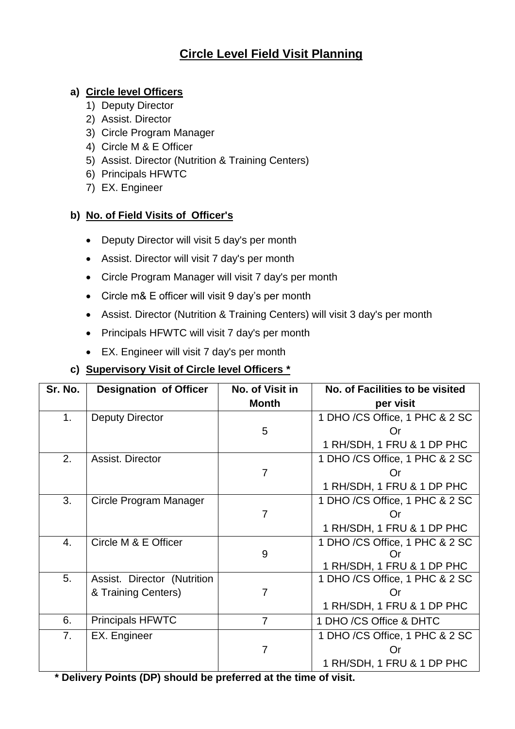# **Circle Level Field Visit Planning**

#### **a) Circle level Officers**

- 1) Deputy Director
- 2) Assist. Director
- 3) Circle Program Manager
- 4) Circle M & E Officer
- 5) Assist. Director (Nutrition & Training Centers)
- 6) Principals HFWTC
- 7) EX. Engineer

### **b) No. of Field Visits of Officer's**

- Deputy Director will visit 5 day's per month
- Assist. Director will visit 7 day's per month
- Circle Program Manager will visit 7 day's per month
- Circle m& E officer will visit 9 day's per month
- Assist. Director (Nutrition & Training Centers) will visit 3 day's per month
- Principals HFWTC will visit 7 day's per month
- EX. Engineer will visit 7 day's per month

## **c) Supervisory Visit of Circle level Officers \***

| Sr. No. | <b>Designation of Officer</b> | No. of Visit in | No. of Facilities to be visited |
|---------|-------------------------------|-----------------|---------------------------------|
|         |                               | <b>Month</b>    | per visit                       |
| 1.      | <b>Deputy Director</b>        |                 | 1 DHO /CS Office, 1 PHC & 2 SC  |
|         |                               | 5               | Or                              |
|         |                               |                 | 1 RH/SDH, 1 FRU & 1 DP PHC      |
| 2.      | Assist. Director              |                 | 1 DHO /CS Office, 1 PHC & 2 SC  |
|         |                               | 7               | Or                              |
|         |                               |                 | 1 RH/SDH, 1 FRU & 1 DP PHC      |
| 3.      | Circle Program Manager        |                 | 1 DHO /CS Office, 1 PHC & 2 SC  |
|         |                               | $\overline{7}$  | Or                              |
|         |                               |                 | 1 RH/SDH, 1 FRU & 1 DP PHC      |
| 4.      | Circle M & E Officer          |                 | 1 DHO /CS Office, 1 PHC & 2 SC  |
|         |                               | 9               | Or                              |
|         |                               |                 | 1 RH/SDH, 1 FRU & 1 DP PHC      |
| 5.      | Assist. Director (Nutrition   |                 | 1 DHO /CS Office, 1 PHC & 2 SC  |
|         | & Training Centers)           | $\overline{7}$  | Ωr                              |
|         |                               |                 | 1 RH/SDH, 1 FRU & 1 DP PHC      |
| 6.      | <b>Principals HFWTC</b>       | $\overline{7}$  | 1 DHO /CS Office & DHTC         |
| 7.      | EX. Engineer                  |                 | 1 DHO /CS Office, 1 PHC & 2 SC  |
|         |                               | 7               | Or                              |
|         |                               |                 | 1 RH/SDH, 1 FRU & 1 DP PHC      |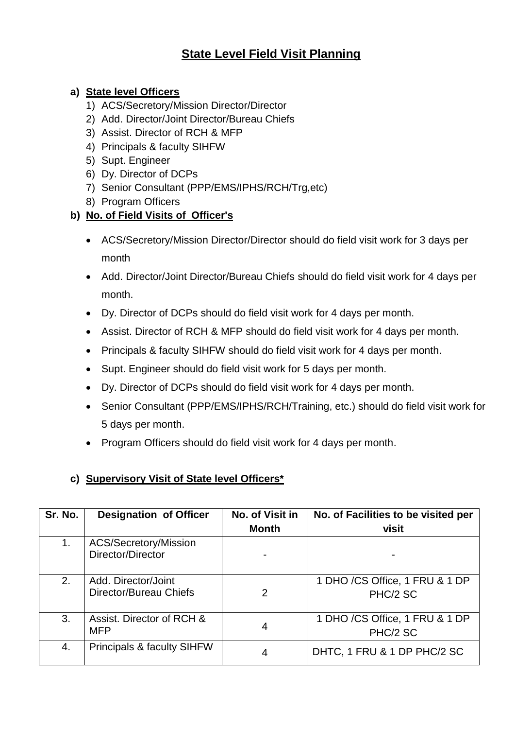# **State Level Field Visit Planning**

### **a) State level Officers**

- 1) ACS/Secretory/Mission Director/Director
- 2) Add. Director/Joint Director/Bureau Chiefs
- 3) Assist. Director of RCH & MFP
- 4) Principals & faculty SIHFW
- 5) Supt. Engineer
- 6) Dy. Director of DCPs
- 7) Senior Consultant (PPP/EMS/IPHS/RCH/Trg,etc)
- 8) Program Officers

## **b) No. of Field Visits of Officer's**

- ACS/Secretory/Mission Director/Director should do field visit work for 3 days per month
- Add. Director/Joint Director/Bureau Chiefs should do field visit work for 4 days per month.
- Dy. Director of DCPs should do field visit work for 4 days per month.
- Assist. Director of RCH & MFP should do field visit work for 4 days per month.
- Principals & faculty SIHFW should do field visit work for 4 days per month.
- Supt. Engineer should do field visit work for 5 days per month.
- Dy. Director of DCPs should do field visit work for 4 days per month.
- Senior Consultant (PPP/EMS/IPHS/RCH/Training, etc.) should do field visit work for 5 days per month.
- Program Officers should do field visit work for 4 days per month.

## **c) Supervisory Visit of State level Officers\***

| Sr. No. | <b>Designation of Officer</b>                 | No. of Visit in<br><b>Month</b> | No. of Facilities to be visited per<br>visit |
|---------|-----------------------------------------------|---------------------------------|----------------------------------------------|
| 1.      | ACS/Secretory/Mission<br>Director/Director    |                                 |                                              |
| 2.      | Add. Director/Joint<br>Director/Bureau Chiefs | $\overline{2}$                  | 1 DHO /CS Office, 1 FRU & 1 DP<br>PHC/2 SC   |
| 3.      | Assist. Director of RCH &<br><b>MFP</b>       | 4                               | 1 DHO /CS Office, 1 FRU & 1 DP<br>PHC/2 SC   |
| 4.      | Principals & faculty SIHFW                    | 4                               | DHTC, 1 FRU & 1 DP PHC/2 SC                  |